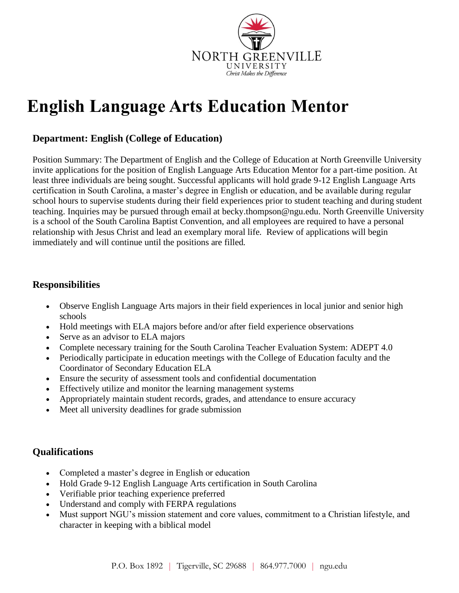

# **English Language Arts Education Mentor**

## **Department: English (College of Education)**

Position Summary: The Department of English and the College of Education at North Greenville University invite applications for the position of English Language Arts Education Mentor for a part-time position. At least three individuals are being sought. Successful applicants will hold grade 9-12 English Language Arts certification in South Carolina, a master's degree in English or education, and be available during regular school hours to supervise students during their field experiences prior to student teaching and during student teaching. Inquiries may be pursued through email at becky.thompson@ngu.edu. North Greenville University is a school of the South Carolina Baptist Convention, and all employees are required to have a personal relationship with Jesus Christ and lead an exemplary moral life. Review of applications will begin immediately and will continue until the positions are filled.

## **Responsibilities**

- Observe English Language Arts majors in their field experiences in local junior and senior high schools
- Hold meetings with ELA majors before and/or after field experience observations
- Serve as an advisor to ELA majors
- Complete necessary training for the South Carolina Teacher Evaluation System: ADEPT 4.0
- Periodically participate in education meetings with the College of Education faculty and the Coordinator of Secondary Education ELA
- Ensure the security of assessment tools and confidential documentation
- Effectively utilize and monitor the learning management systems
- Appropriately maintain student records, grades, and attendance to ensure accuracy
- Meet all university deadlines for grade submission

## **Qualifications**

- Completed a master's degree in English or education
- Hold Grade 9-12 English Language Arts certification in South Carolina
- Verifiable prior teaching experience preferred
- Understand and comply with FERPA regulations
- Must support NGU's mission statement and core values, commitment to a Christian lifestyle, and character in keeping with a biblical model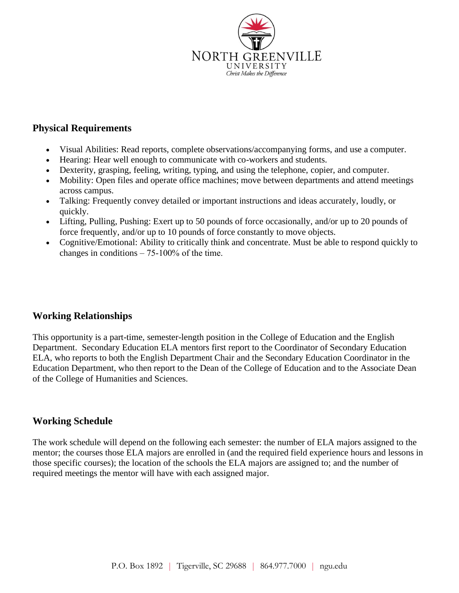

#### **Physical Requirements**

- Visual Abilities: Read reports, complete observations/accompanying forms, and use a computer.
- Hearing: Hear well enough to communicate with co-workers and students.
- Dexterity, grasping, feeling, writing, typing, and using the telephone, copier, and computer.
- Mobility: Open files and operate office machines; move between departments and attend meetings across campus.
- Talking: Frequently convey detailed or important instructions and ideas accurately, loudly, or quickly.
- Lifting, Pulling, Pushing: Exert up to 50 pounds of force occasionally, and/or up to 20 pounds of force frequently, and/or up to 10 pounds of force constantly to move objects.
- Cognitive/Emotional: Ability to critically think and concentrate. Must be able to respond quickly to changes in conditions  $-75-100\%$  of the time.

## **Working Relationships**

This opportunity is a part-time, semester-length position in the College of Education and the English Department. Secondary Education ELA mentors first report to the Coordinator of Secondary Education ELA, who reports to both the English Department Chair and the Secondary Education Coordinator in the Education Department, who then report to the Dean of the College of Education and to the Associate Dean of the College of Humanities and Sciences.

### **Working Schedule**

The work schedule will depend on the following each semester: the number of ELA majors assigned to the mentor; the courses those ELA majors are enrolled in (and the required field experience hours and lessons in those specific courses); the location of the schools the ELA majors are assigned to; and the number of required meetings the mentor will have with each assigned major.